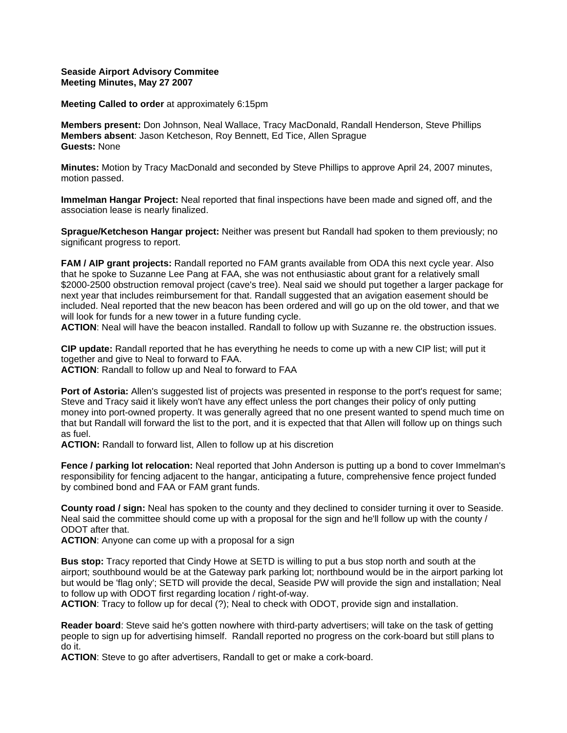## **Seaside Airport Advisory Commitee Meeting Minutes, May 27 2007**

**Meeting Called to order** at approximately 6:15pm

**Members present:** Don Johnson, Neal Wallace, Tracy MacDonald, Randall Henderson, Steve Phillips **Members absent**: Jason Ketcheson, Roy Bennett, Ed Tice, Allen Sprague **Guests:** None

**Minutes:** Motion by Tracy MacDonald and seconded by Steve Phillips to approve April 24, 2007 minutes, motion passed.

**Immelman Hangar Project:** Neal reported that final inspections have been made and signed off, and the association lease is nearly finalized.

**Sprague/Ketcheson Hangar project:** Neither was present but Randall had spoken to them previously; no significant progress to report.

**FAM / AIP grant projects:** Randall reported no FAM grants available from ODA this next cycle year. Also that he spoke to Suzanne Lee Pang at FAA, she was not enthusiastic about grant for a relatively small \$2000-2500 obstruction removal project (cave's tree). Neal said we should put together a larger package for next year that includes reimbursement for that. Randall suggested that an avigation easement should be included. Neal reported that the new beacon has been ordered and will go up on the old tower, and that we will look for funds for a new tower in a future funding cycle.

**ACTION**: Neal will have the beacon installed. Randall to follow up with Suzanne re. the obstruction issues.

**CIP update:** Randall reported that he has everything he needs to come up with a new CIP list; will put it together and give to Neal to forward to FAA.

**ACTION**: Randall to follow up and Neal to forward to FAA

**Port of Astoria:** Allen's suggested list of projects was presented in response to the port's request for same; Steve and Tracy said it likely won't have any effect unless the port changes their policy of only putting money into port-owned property. It was generally agreed that no one present wanted to spend much time on that but Randall will forward the list to the port, and it is expected that that Allen will follow up on things such as fuel.

**ACTION:** Randall to forward list, Allen to follow up at his discretion

**Fence / parking lot relocation:** Neal reported that John Anderson is putting up a bond to cover Immelman's responsibility for fencing adjacent to the hangar, anticipating a future, comprehensive fence project funded by combined bond and FAA or FAM grant funds.

**County road / sign:** Neal has spoken to the county and they declined to consider turning it over to Seaside. Neal said the committee should come up with a proposal for the sign and he'll follow up with the county / ODOT after that.

**ACTION**: Anyone can come up with a proposal for a sign

**Bus stop:** Tracy reported that Cindy Howe at SETD is willing to put a bus stop north and south at the airport; southbound would be at the Gateway park parking lot; northbound would be in the airport parking lot but would be 'flag only'; SETD will provide the decal, Seaside PW will provide the sign and installation; Neal to follow up with ODOT first regarding location / right-of-way.

**ACTION**: Tracy to follow up for decal (?); Neal to check with ODOT, provide sign and installation.

**Reader board**: Steve said he's gotten nowhere with third-party advertisers; will take on the task of getting people to sign up for advertising himself. Randall reported no progress on the cork-board but still plans to do it.

**ACTION**: Steve to go after advertisers, Randall to get or make a cork-board.